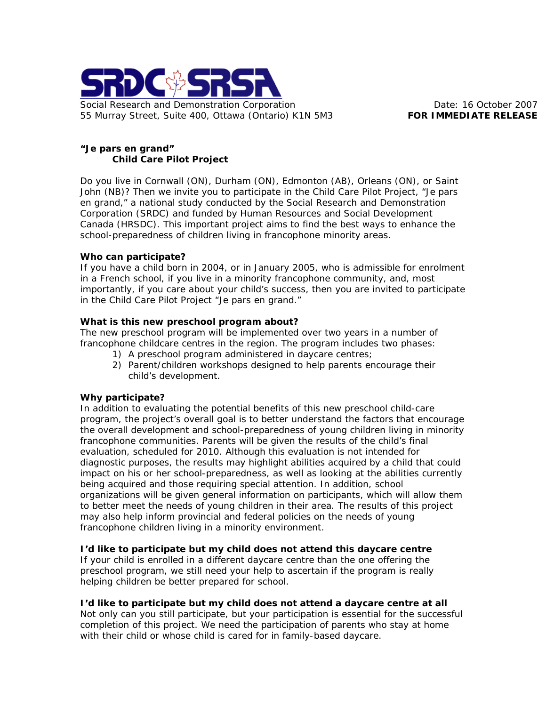

### **"***Je pars en grand***" Child Care Pilot Project**

Do you live in Cornwall (ON), Durham (ON), Edmonton (AB), Orleans (ON), or Saint John (NB)? Then we invite you to participate in the Child Care Pilot Project, "*Je pars en grand*," a national study conducted by the Social Research and Demonstration Corporation (SRDC) and funded by Human Resources and Social Development Canada (HRSDC). This important project aims to find the best ways to enhance the school-preparedness of children living in francophone minority areas.

#### **Who can participate?**

If you have a child born in 2004, or in January 2005, who is admissible for enrolment in a French school, if you live in a minority francophone community, and, most importantly, if you care about your child's success, then you are invited to participate in the Child Care Pilot Project "*Je pars en grand*."

### **What is this new preschool program about?**

The new preschool program will be implemented over two years in a number of francophone childcare centres in the region. The program includes two phases:

- 1) A preschool program administered in daycare centres;
- 2) Parent/children workshops designed to help parents encourage their child's development.

# **Why participate?**

In addition to evaluating the potential benefits of this new preschool child-care program, the project's overall goal is to better understand the factors that encourage the overall development and school-preparedness of young children living in minority francophone communities. Parents will be given the results of the child's final evaluation, scheduled for 2010. Although this evaluation is not intended for diagnostic purposes, the results may highlight abilities acquired by a child that could impact on his or her school-preparedness, as well as looking at the abilities currently being acquired and those requiring special attention. In addition, school organizations will be given general information on participants, which will allow them to better meet the needs of young children in their area. The results of this project may also help inform provincial and federal policies on the needs of young francophone children living in a minority environment.

# **I'd like to participate but my child does not attend this daycare centre**

If your child is enrolled in a different daycare centre than the one offering the preschool program, we still need your help to ascertain if the program is really helping children be better prepared for school.

# **I'd like to participate but my child does not attend a daycare centre at all**

Not only can you still participate, but your participation is essential for the successful completion of this project. We need the participation of parents who stay at home with their child or whose child is cared for in family-based daycare.